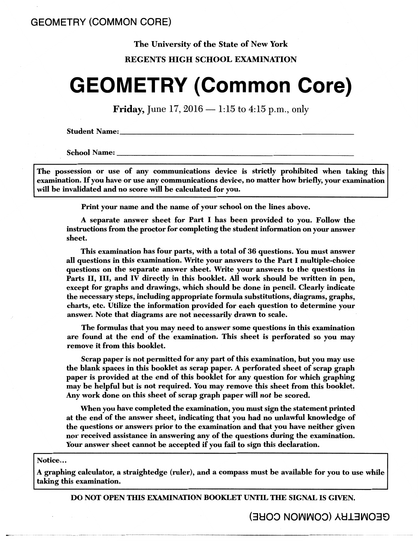#### The University of the State of New York

#### REGENTS HIGH SCHOOL EXAMINATION

# **GEOMETRY (Common Core)**

**Friday,** June 17, 2016  $-$  1:15 to 4:15 p.m., only

**Student Name:** 

**School Name:** 

The possession or use of any communications device is strictly prohibited when taking this examination. If you have or use any communications device, no matter how briefly, your examination will be invalidated and no score will be calculated for you.

Print your name and the name of your school on the lines above.

A separate answer sheet for Part I has been provided to you. Follow the instructions from the proctor for completing the student information on your answer sheet.

This examination has four parts, with a total of 36 questions. You must answer all questions in this examination. Write your answers to the Part I multiple-choice questions on the separate answer sheet. Write your answers to the questions in Parts II, III, and IV directly in this booklet. All work should be written in pen, except for graphs and drawings, which should be done in pencil. Clearly indicate the necessary steps, including appropriate formula substitutions, diagrams, graphs, charts, etc. Utilize the information provided for each question to determine your answer. Note that diagrams are not necessarily drawn to scale.

The formulas that you may need to answer some questions in this examination are found at the end of the examination. This sheet is perforated so you may remove it from this booklet.

Scrap paper is not permitted for any part of this examination, but you may use the blank spaces in this booklet as scrap paper. A perforated sheet of scrap graph paper is provided at the end of this booklet for any question for which graphing may be helpful but is not required. You may remove this sheet from this booklet. Any work done on this sheet of scrap graph paper will *not* be scored.

When you have completed the examination, you must sign the statement printed at the end of the answer sheet, indicating that you had no unlawful knowledge of the questions or answers prior to the examination and that you have neither given nor received assistance in answering any of the questions during the examination. Your answer sheet cannot be accepted if you fail to sign this declaration.

#### Notice...

A graphing calculator, a straightedge (ruler), and a compass must be available for you to use while taking this examination.

DO NOT OPEN TIIIS EXAMINATION BOOKLET UNTIL THE SIGNAL IS GIVEN.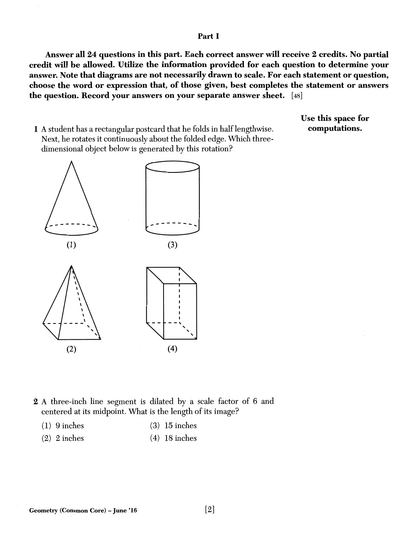#### Part I

Answer all 24 questions in this part. Each correct answer will receive 2 credits. No partial credit will be allowed. Utilize the information provided for each question to determine your answer. Note that diagrams are not necessarily drawn to scale. For each statement or question, choose the word or expression that, of those given, best completes the statement or answers the question. Record your answers on your separate answer sheet. [ 48]

1 A student has a rectangular postcard that he folds in half lengthwise. Next, he rotates it continuously about the folded edge. Which threedimensional object below is generated by this rotation?

Use this space for computations.



- 2 A three-inch line segment is dilated by a scale factor of 6 and centered at its midpoint. What is the length of its image?
	- ( 1) 9 inches ( 3) 15 inches
	- (2) 2 inches (4) 18 inches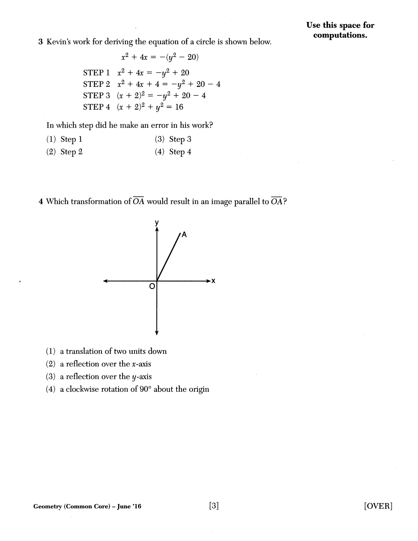3 Kevin's work for deriving the equation of a circle is shown below.

$$
x^{2} + 4x = -(y^{2} - 20)
$$
  
STEP 1 
$$
x^{2} + 4x = -y^{2} + 20
$$
  
STEP 2 
$$
x^{2} + 4x + 4 = -y^{2} + 20 - 4
$$
  
STEP 3 
$$
(x + 2)^{2} = -y^{2} + 20 - 4
$$
  
STEP 4 
$$
(x + 2)^{2} + y^{2} = 16
$$

In which step did he make an error in his work?

$$
(1) Step 1 \t(3) Step 3
$$

$$
(2) Step 2 \t(4) Step 4
$$

4 Which transformation of *OA* would result in an image parallel to *OA?* 



- ( 1) a translation of two units down
- (2) a reflection over the *x-axis*
- (3) a reflection over the y-axis
- (4) a clockwise rotation of  $90^{\circ}$  about the origin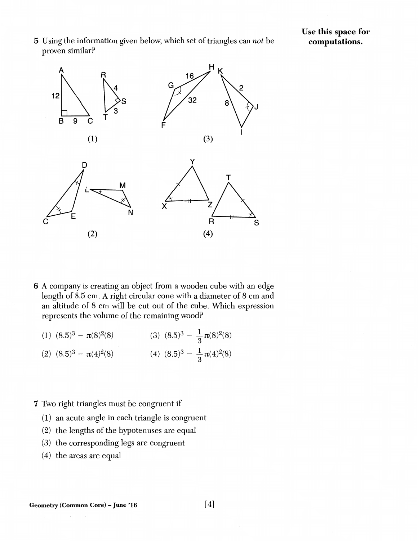5 Using the information given below, which set of triangles can *not* be proven similar?

#### Use this space for computations.



- 6 A company is creating an object from a wooden cube with an edge length of 8.5 cm. A right circular cone with a diameter of 8 cm and an altitude of 8 cm will be cut out of the cube. Which expression represents the volume of the remaining wood?
	- (1)  $(8.5)^3 \pi(8)^2(8)$ (2)  $(8.5)^3 - \pi(4)^2(8)$  (4)  $(8.5)^3 - \frac{1}{2}\pi(4)^2(8)$ (3)  $(8.5)^3 - \frac{1}{3}\pi(8)^2(8)$

#### 7 Two right triangles must be congruent if

- (1) an acute angle in each triangle is congruent
- (2) the lengths of the hypotenuses are equal
- (3) the corresponding legs are congruent
- $(4)$  the areas are equal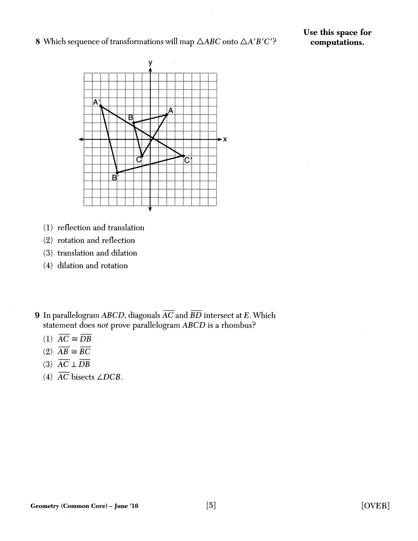8 Which sequence of transformations will map  $\triangle ABC$  onto  $\triangle A'B'C'$ ?



- (1) reflection and translation
- (2) rotation and reflection
- (3) translation and dilation
- (4) dilation and rotation
- 9 In parallelogram *ABCD,* diagonals *AC* and *BD* intersect at *E.* Which statement does *not* prove parallelogram *ABCD* is a rhombus?
	- $(1)$   $\overline{AC} \cong \overline{DB}$
	- (2)  $\overline{AB} \cong \overline{BC}$ <br>(3)  $\overline{AC} \perp \overline{DB}$
	-
	- (4) *AC* bisects *LDCB.*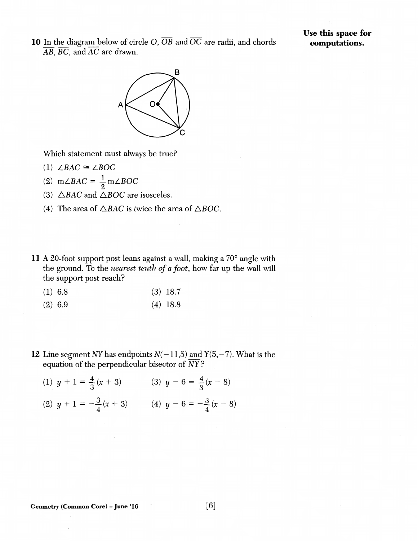**10** In the diagram below of circle  $O$ ,  $\overline{OB}$  and  $\overline{OC}$  are radii, and chords *AB, BC,* and *AC* are drawn.

### Use **this** space **for computations.**



Which statement must always be true?

- $(1)$  *LBAC*  $\cong$  *LBOC*
- (2)  $m\angle BAC = \frac{1}{2}m\angle BOC$
- (3)  $\triangle BAC$  and  $\triangle BOC$  are isosceles.
- (4) The area of  $\triangle BAC$  is twice the area of  $\triangle BOC$ .
- **11** A 20-foot support post leans against a wall, making a 70° angle with the ground. To the *nearest tenth of a foot,* how far up the wall will the support post reach?
	- (1) 6.8 (3) 18.7
	- (2) 6.9 (4) 18.8
- **12** Line segment *NY* has endpoints  $N(-11,5)$  and  $Y(5, -7)$ . What is the equation of the perpendicular bisector of *NY?* 
	- (1)  $y + 1 = \frac{4}{3}(x + 3)$  (3)  $y 6 = \frac{4}{3}(x 8)$ (2)  $y + 1 = -\frac{3}{4}(x + 3)$  (4)  $y - 6 = -\frac{3}{4}(x - 8)$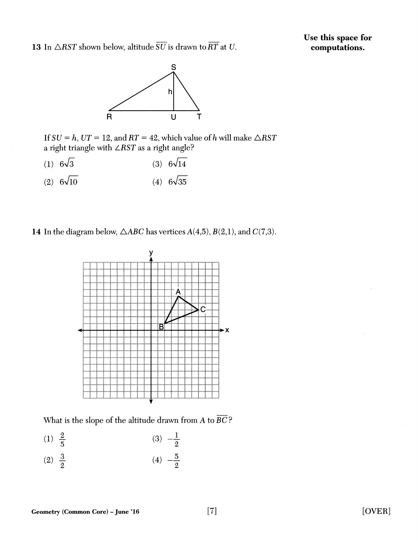13 In  $\triangle RST$  shown below, altitude  $\overline{SU}$  is drawn to  $\overline{RT}$  at *U*.

Use this space for computations.



If  $SU = h$ ,  $UT = 12$ , and  $RT = 42$ , which value of *h* will make  $\triangle RST$ a right triangle with *LRST* as a right angle?

- (1)  $6\sqrt{3}$  (3)  $6\sqrt{14}$
- (2)  $6\sqrt{10}$ (4)  $6\sqrt{35}$

14 In the diagram below,  $\triangle ABC$  has vertices  $A(4,5)$ ,  $B(2,1)$ , and  $C(7,3)$ .



What is the slope of the altitude drawn from A to *BC?* 

- $(1) \frac{2}{x}$ 5  $(3) -\frac{1}{2}$ 2
- $(2) \frac{3}{2}$ 2  $(4) -\frac{5}{6}$ 2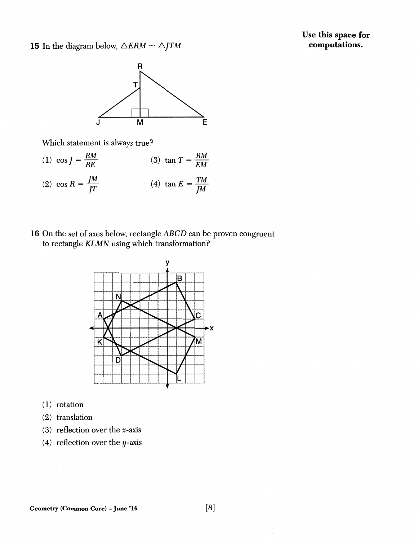Use this space for computations.

15 In the diagram below,  $\triangle ERM \sim \triangle JTM$ .



Which statement is always true?



16 On the set of axes below, rectangle ABCD can be proven congruent to rectangle KLMN using which transformation?



- $(1)$  rotation
- (2) translation
- (3) reflection over the x-axis
- (4) reflection over the  $y$ -axis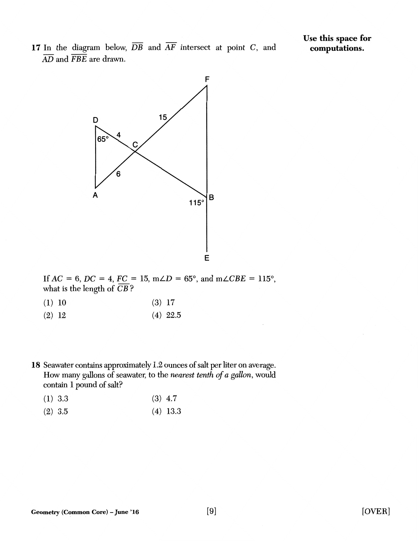17 In the diagram below,  $\overline{DB}$  and  $\overline{AF}$  intersect at point C, and *AD* and *FBE* are drawn.



If  $AC = 6$ ,  $DC = 4$ ,  $FC = 15$ ,  $m\angle D = 65^{\circ}$ , and  $m\angle CBE = 115^{\circ}$ , what is the length of *CB* ?

- $(1)$  10  $(3)$  17
- $(2)$  12  $(4)$  22.5
- 18 Seawater contains approximately 1.2 ounces of salt per liter on average. How many gallons of seawater, to the *nearest tenth of a gallon,* would contain 1 pound of salt?

| (1) 3.3 | $(3)$ 4.7 |
|---------|-----------|
|---------|-----------|

(2) 3.5 (4) 13.3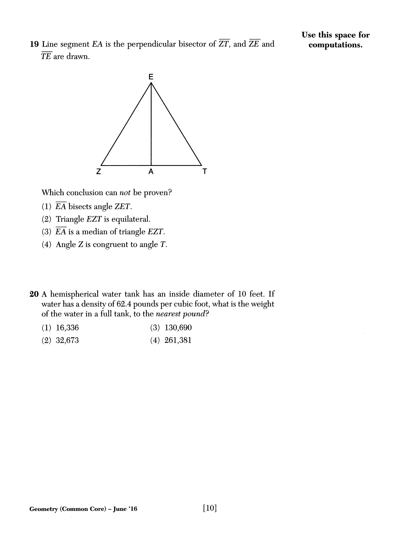19 Line segment EA is the perpendicular bisector of  $\overline{ZT}$ , and  $\overline{ZE}$  and TE are drawn.

Use this space for computations.



Which conclusion can *not* be proven?

- (1)  $\overline{EA}$  bisects angle ZET.
- (2) Triangle EZT is equilateral.
- (3)  $\overline{EA}$  is a median of triangle EZT.
- ( 4) Angle Z is congruent to angle *T.*
- 20 A hemispherical water tank has an inside diameter of 10 feet. If water has a density of 62.4 pounds per cubic foot, what is the weight of the water in a full tank, to the *nearest pound?*

| $(1)$ 16,336 |  | $(3)$ 130,690 |
|--------------|--|---------------|
|--------------|--|---------------|

(2) 32,673 (4) 261,381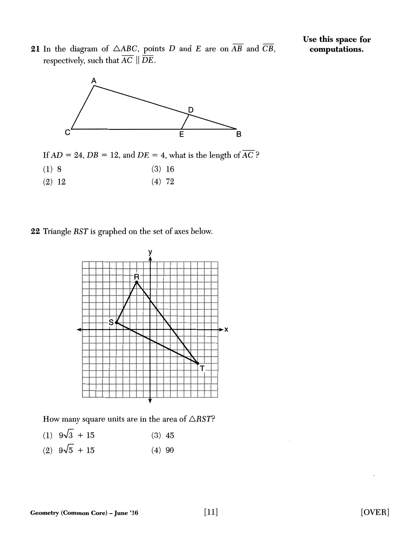21 In the diagram of  $\triangle ABC$ , points D and E are on  $\overline{AB}$  and  $\overline{CB}$ , respectively, such that  $\overline{AC} \parallel \overline{DE}.$ 



If  $AD = 24$ ,  $DB = 12$ , and  $DE = 4$ , what is the length of  $\overline{AC}$ ?

- $(1) 8$   $(3) 16$
- $(2)$  12  $(4)$  72

22 Triangle *RST* is graphed on the set of axes below.



How many square units are in the area of  $\triangle RST$ ?

- (1)  $9\sqrt{3} + 15$  (3)  $45$
- (2)  $9\sqrt{5} + 15$  (4) 90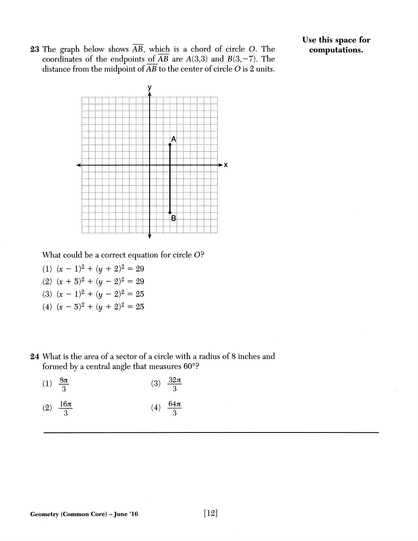**23** The graph below shows  $\overline{AB}$ , which is a chord of circle O. The coordinates of the endpoints of  $\overline{AB}$  are  $A(3,3)$  and  $B(3,-7)$ . The distance from the midpoint of  $\overline{AB}$  to the center of circle O is 2 units. Use this space for computations.



What could be a correct equation for circle O?

- (1)  $(x 1)^2 + (y + 2)^2 = 29$
- (2)  $(x + 5)^2 + (y 2)^2 = 29$
- (3)  $(x 1)^2 + (y 2)^2 = 25$
- (4)  $(x-5)^2 + (y+2)^2 = 25$
- 24 What is the area of a sector of a circle with a radius of 8 inches and formed by a central angle that measures 60°?

| (1) $\frac{8\pi}{3}$  | (3) $\frac{32\pi}{3}$ |
|-----------------------|-----------------------|
| (2) $\frac{16\pi}{3}$ | (4) $\frac{64\pi}{3}$ |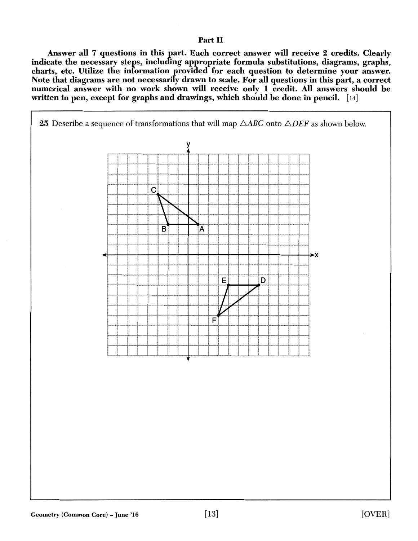#### Part II

Answer all 7 questions in this part. Each correct answer will receive 2 credits. Clearly indicate the necessary steps, including appropriate formula substitutions, diagrams, graphs, charts, etc. Utilize the information provided for each question to determine your answer. Note that diagrams are not necessarily drawn to scale. For all questions in this part, a correct numerical answer with no work shown will receive only 1 credit. All answers should be written in pen, except for graphs and drawings, which should be done in pencil. [14]

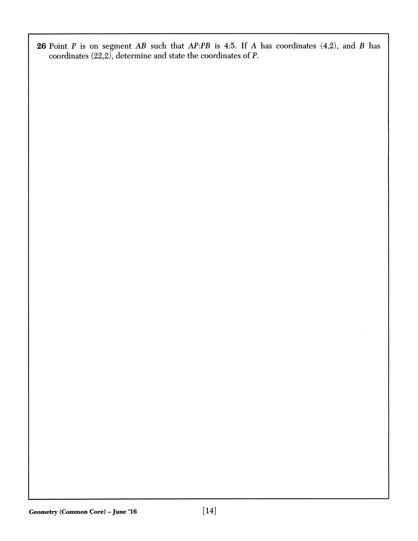26 Point  $P$  is on segment  $AB$  such that  $AP:PB$  is 4:5. If  $A$  has coordinates (4,2), and  $B$  has coordinates (22,2), determine and state the coordinates of P.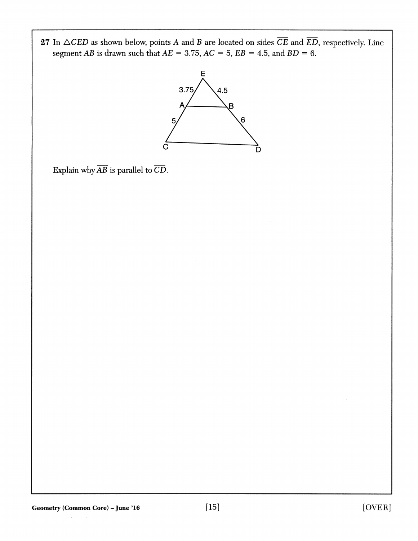



```
Explain why \overline{AB} is parallel to \overline{CD}.
```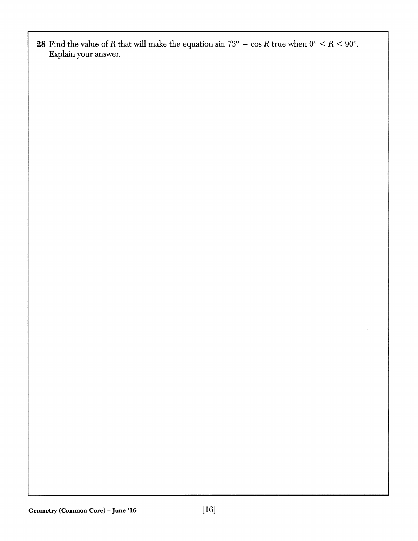28 Find the value of *R* that will make the equation sin  $73^{\circ} = \cos R$  true when  $0^{\circ} < R < 90^{\circ}$ . Explain your answer.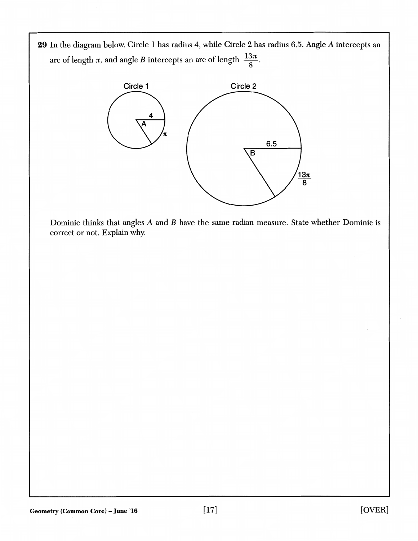29 In the diagram below, Circle 1 has radius 4, while Circle 2 has radius 6.5. Angle A intercepts an arc of length  $\pi$ , and angle *B* intercepts an arc of length  $\frac{13\pi}{8}$ .



Dominic thinks that angles A and B have the same radian measure. State whether Dominic is correct or not. Explain why.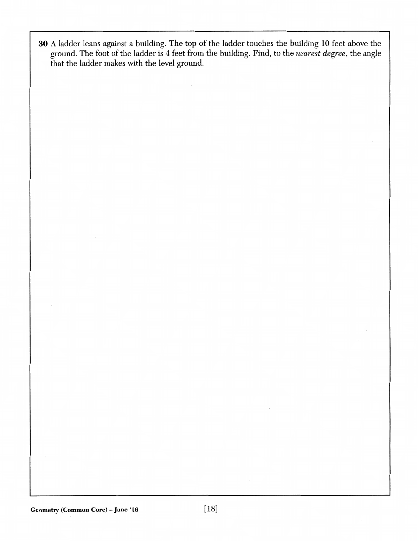30 A ladder leans against a building. The top of the ladder touches the building 10 feet above the ground. The foot of the ladder is 4 feet from the building. Find, to the *nearest degree,* the angle that the ladder makes with the level ground.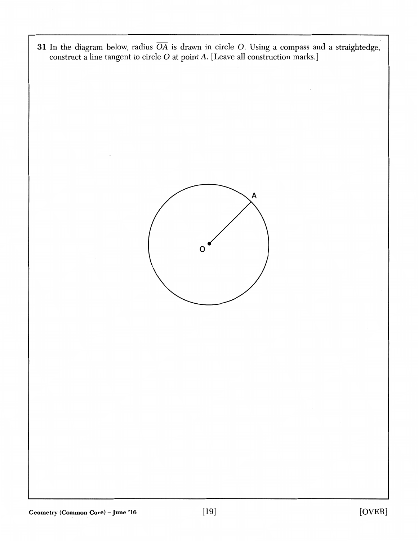31 In the diagram below, radius *OA* is drawn in circle 0. Using a compass and a straightedge, construct a line tangent to circle O at point A. [Leave all construction marks.]

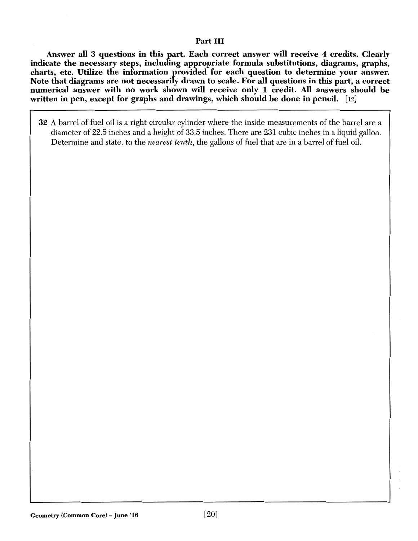#### Part III

Answer all 3 questions in this part. Each correct answer will receive 4 credits. Clearly indicate the necessary steps, including appropriate formula substitutions, diagrams, graphs, charts, etc. Utilize the information provided for each question to determine your answer. Note that diagrams are not necessarily drawn to scale. For all questions in this part, a correct numerical answer with no work shown will receive only I credit. All answers should be written in pen, except for graphs and drawings, which should be done in pencil. [12]

32 A barrel of fuel oil is a right circular cylinder where the inside measurements of the barrel are a diameter of 22.5 inches and a height of 33.5 inches. There are 231 cubic inches in a liquid gallon. Determine and state, to the *nearest tenth,* the gallons of fuel that are in a barrel of fuel oil.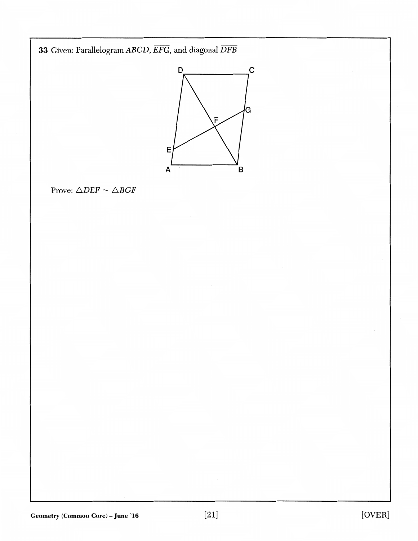33 Given: Parallelogram  $ABCD$ ,  $\overline{EFG}$ , and diagonal  $\overline{DFB}$ 



Prove:  $\triangle DEF \sim \triangle BGF$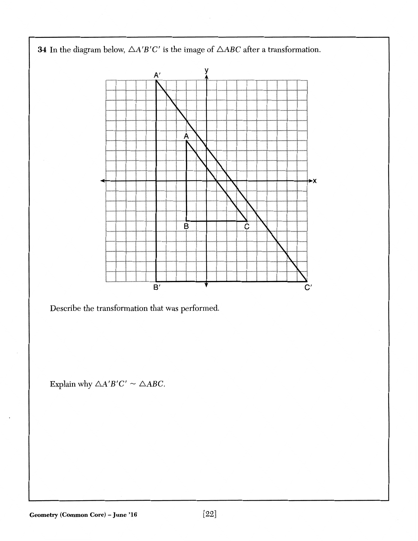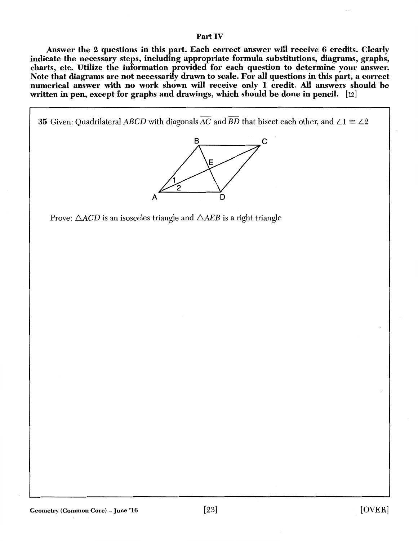#### Part IV

Answer the 2 questions in this part. Each correct answer will receive 6 credits. Clearly indicate the necessary steps, including appropriate formula substitutions, diagrams, graphs, charts, etc. Utilize the information provided for each question to determine your answer. Note that diagrams are not necessarily drawn to scale. For all questions in this part, a correct numerical answer with no work shown will receive only 1 credit. All answers should be written in pen, except for graphs and drawings, which should be done in pencil. [12]

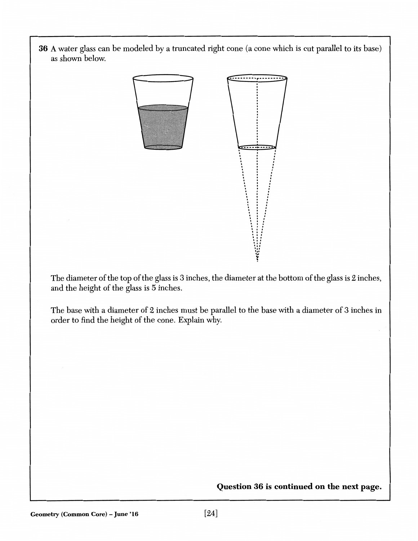**36** A water glass can be modeled by a truncated right cone (a cone which is cut parallel to its base) as shown below.



 $\begin{picture}(1,10) \put(0,0){\line(1,0){155}} \put(1,0){\line(1,0){155}} \put(1,0){\line(1,0){155}} \put(1,0){\line(1,0){155}} \put(1,0){\line(1,0){155}} \put(1,0){\line(1,0){155}} \put(1,0){\line(1,0){155}} \put(1,0){\line(1,0){155}} \put(1,0){\line(1,0){155}} \put(1,0){\line(1,0){155}} \put(1,0){\line(1,0){155}} \put(1,0){\line(1,$  $\setminus$   $\parallel$   $\perp$  $\setminus$  :  $\top$  $\setminus\!\!\!\!\setminus\!\!\!\!\setminus\!\!\!\setminus\!\!\!\setminus\!\!\!\setminus\!\!\!\setminus\!\!\!\setminus\!\!\!\setminus\!\!\!\setminus\!\!\!\setminus\!\!\!\setminus\!\!\!\setminus\!\!\!\setminus\!\!\!\setminus\!\!\!\setminus\!\!\!\setminus\!\!\!\setminus\!\!\!\setminus\!\!\!\setminus\!\!\!\setminus\!\!\!\setminus\!\!\!\setminus\!\!\!\setminus\!\!\!\setminus\!\!\!\setminus\!\!\!\setminus\!\!\!\setminus\!\!\!\setminus\!\!\!\setminus\!\!\!\setminus\!\!\!\setminus\!\!\!\setminus\!\!\!\setminus\!\!\!\setminus\!\!\!\setminus\!\!\!\set$ ...

<del>. . . . . . . . . . . . . . . . .</del>

~

The diameter of the top of the glass is 3 inches, the diameter at the bottom of the glass is 2 inches, and the height of the glass is 5 inches.

The base with a diameter of 2 inches must be parallel to the base with a diameter of 3 inches in order to find the height of the cone. Explain why.

**Question 36 is continued on the next page.**